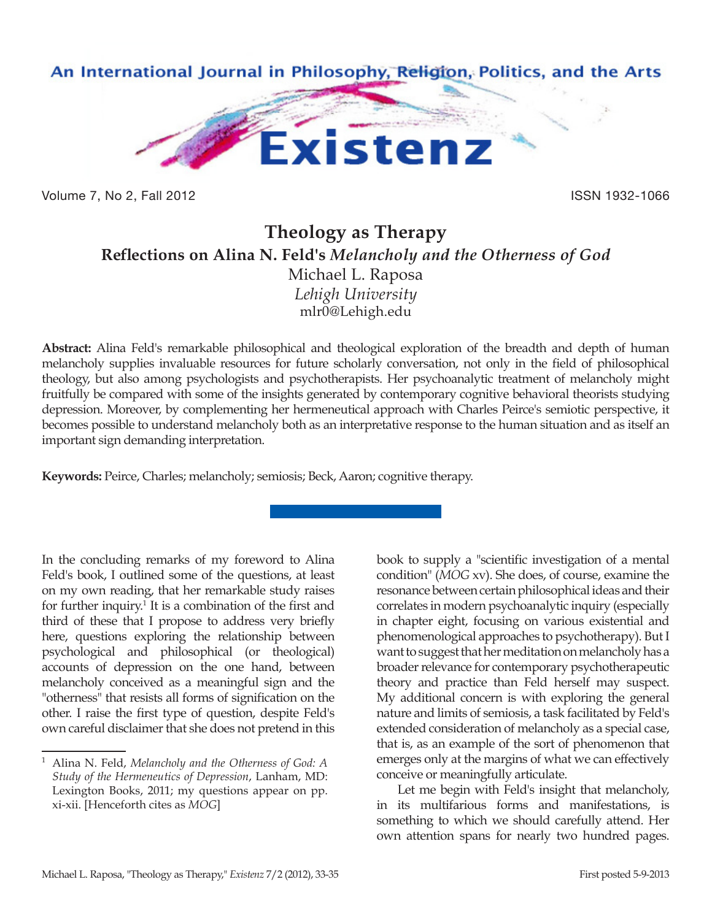

Volume 7, No 2, Fall 2012 **ISSN 1932-1066** 

## **Theology as Therapy Reflections on Alina N. Feld's** *Melancholy and the Otherness of God* Michael L. Raposa *Lehigh University* mlr0@Lehigh.edu

**Abstract:** Alina Feld's remarkable philosophical and theological exploration of the breadth and depth of human melancholy supplies invaluable resources for future scholarly conversation, not only in the field of philosophical theology, but also among psychologists and psychotherapists. Her psychoanalytic treatment of melancholy might fruitfully be compared with some of the insights generated by contemporary cognitive behavioral theorists studying depression. Moreover, by complementing her hermeneutical approach with Charles Peirce's semiotic perspective, it becomes possible to understand melancholy both as an interpretative response to the human situation and as itself an important sign demanding interpretation.

**Keywords:** Peirce, Charles; melancholy; semiosis; Beck, Aaron; cognitive therapy.

In the concluding remarks of my foreword to Alina Feld's book, I outlined some of the questions, at least on my own reading, that her remarkable study raises for further inquiry.<sup>1</sup> It is a combination of the first and third of these that I propose to address very briefly here, questions exploring the relationship between psychological and philosophical (or theological) accounts of depression on the one hand, between melancholy conceived as a meaningful sign and the "otherness" that resists all forms of signification on the other. I raise the first type of question, despite Feld's own careful disclaimer that she does not pretend in this

book to supply a "scientific investigation of a mental condition" (*MOG* xv). She does, of course, examine the resonance between certain philosophical ideas and their correlates in modern psychoanalytic inquiry (especially in chapter eight, focusing on various existential and phenomenological approaches to psychotherapy). But I want to suggest that her meditation on melancholy has a broader relevance for contemporary psychotherapeutic theory and practice than Feld herself may suspect. My additional concern is with exploring the general nature and limits of semiosis, a task facilitated by Feld's extended consideration of melancholy as a special case, that is, as an example of the sort of phenomenon that emerges only at the margins of what we can effectively conceive or meaningfully articulate.

Let me begin with Feld's insight that melancholy, in its multifarious forms and manifestations, is something to which we should carefully attend. Her own attention spans for nearly two hundred pages.

<sup>1</sup> Alina N. Feld, *Melancholy and the Otherness of God: A Study of the Hermeneutics of Depression*, Lanham, MD: Lexington Books, 2011; my questions appear on pp. xi-xii. [Henceforth cites as *MOG*]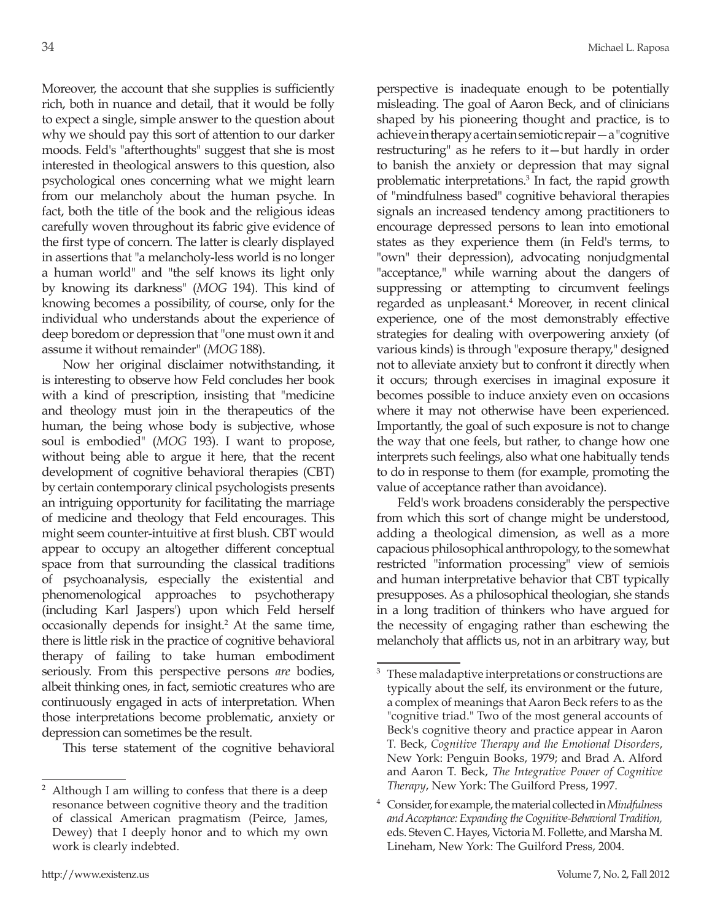Moreover, the account that she supplies is sufficiently rich, both in nuance and detail, that it would be folly to expect a single, simple answer to the question about why we should pay this sort of attention to our darker moods. Feld's "afterthoughts" suggest that she is most interested in theological answers to this question, also psychological ones concerning what we might learn from our melancholy about the human psyche. In fact, both the title of the book and the religious ideas carefully woven throughout its fabric give evidence of the first type of concern. The latter is clearly displayed in assertions that "a melancholy-less world is no longer a human world" and "the self knows its light only by knowing its darkness" (*MOG* 194). This kind of knowing becomes a possibility, of course, only for the individual who understands about the experience of deep boredom or depression that "one must own it and assume it without remainder" (*MOG* 188).

Now her original disclaimer notwithstanding, it is interesting to observe how Feld concludes her book with a kind of prescription, insisting that "medicine and theology must join in the therapeutics of the human, the being whose body is subjective, whose soul is embodied" (*MOG* 193). I want to propose, without being able to argue it here, that the recent development of cognitive behavioral therapies (CBT) by certain contemporary clinical psychologists presents an intriguing opportunity for facilitating the marriage of medicine and theology that Feld encourages. This might seem counter-intuitive at first blush. CBT would appear to occupy an altogether different conceptual space from that surrounding the classical traditions of psychoanalysis, especially the existential and phenomenological approaches to psychotherapy (including Karl Jaspers') upon which Feld herself occasionally depends for insight.2 At the same time, there is little risk in the practice of cognitive behavioral therapy of failing to take human embodiment seriously. From this perspective persons *are* bodies, albeit thinking ones, in fact, semiotic creatures who are continuously engaged in acts of interpretation. When those interpretations become problematic, anxiety or depression can sometimes be the result.

This terse statement of the cognitive behavioral

perspective is inadequate enough to be potentially misleading. The goal of Aaron Beck, and of clinicians shaped by his pioneering thought and practice, is to achieve in therapy a certain semiotic repair—a "cognitive restructuring" as he refers to it—but hardly in order to banish the anxiety or depression that may signal problematic interpretations.3 In fact, the rapid growth of "mindfulness based" cognitive behavioral therapies signals an increased tendency among practitioners to encourage depressed persons to lean into emotional states as they experience them (in Feld's terms, to "own" their depression), advocating nonjudgmental "acceptance," while warning about the dangers of suppressing or attempting to circumvent feelings regarded as unpleasant.<sup>4</sup> Moreover, in recent clinical experience, one of the most demonstrably effective strategies for dealing with overpowering anxiety (of various kinds) is through "exposure therapy," designed not to alleviate anxiety but to confront it directly when it occurs; through exercises in imaginal exposure it becomes possible to induce anxiety even on occasions where it may not otherwise have been experienced. Importantly, the goal of such exposure is not to change the way that one feels, but rather, to change how one interprets such feelings, also what one habitually tends to do in response to them (for example, promoting the value of acceptance rather than avoidance).

Feld's work broadens considerably the perspective from which this sort of change might be understood, adding a theological dimension, as well as a more capacious philosophical anthropology, to the somewhat restricted "information processing" view of semiois and human interpretative behavior that CBT typically presupposes. As a philosophical theologian, she stands in a long tradition of thinkers who have argued for the necessity of engaging rather than eschewing the melancholy that afflicts us, not in an arbitrary way, but

 $2$  Although I am willing to confess that there is a deep resonance between cognitive theory and the tradition of classical American pragmatism (Peirce, James, Dewey) that I deeply honor and to which my own work is clearly indebted.

 $3<sup>3</sup>$  These maladaptive interpretations or constructions are typically about the self, its environment or the future, a complex of meanings that Aaron Beck refers to as the "cognitive triad." Two of the most general accounts of Beck's cognitive theory and practice appear in Aaron T. Beck, *Cognitive Therapy and the Emotional Disorders*, New York: Penguin Books, 1979; and Brad A. Alford and Aaron T. Beck, *The Integrative Power of Cognitive Therapy*, New York: The Guilford Press, 1997.

<sup>4</sup> Consider, for example, the material collected in *Mindfulness and Acceptance: Expanding the Cognitive-Behavioral Tradition,*  eds. Steven C. Hayes, Victoria M. Follette, and Marsha M. Lineham, New York: The Guilford Press, 2004.